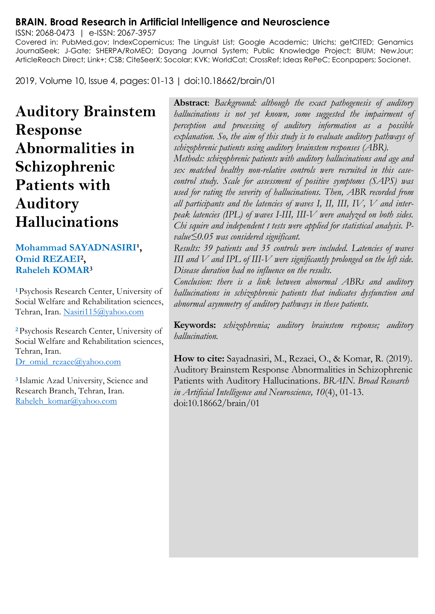#### **BRAIN. Broad Research in Artificial Intelligence and Neuroscience**

ISSN: 2068-0473 | e-ISSN: 2067-3957 Covered in: PubMed.gov; IndexCopernicus; The Linguist List; Google Academic; Ulrichs; getCITED; Genamics JournalSeek; J-Gate; SHERPA/RoMEO; Dayang Journal System; Public Knowledge Project; BIUM; NewJour; ArticleReach Direct; Link+; CSB; CiteSeerX; Socolar; KVK; WorldCat; CrossRef; Ideas RePeC; Econpapers; Socionet.

2019, Volume 10, Issue 4, pages: 01-13 | doi:10.18662/brain/01

# **Auditory Brainstem Response Abnormalities in Schizophrenic Patients with Auditory Hallucinations**

#### **Mohammad SAYADNASIRI<sup>1</sup>, Omid REZAEI<sup>2</sup> , Raheleh KOMAR<sup>3</sup>**

**<sup>1</sup>**Psychosis Research Center, University of Social Welfare and Rehabilitation sciences, Tehran, Iran. [Nasiri115@yahoo.com](mailto:Nasiri115@yahoo.com)

**<sup>2</sup>**Psychosis Research Center, University of Social Welfare and Rehabilitation sciences, Tehran, Iran. [Dr\\_omid\\_rezaee@yahoo.com](mailto:Dr_omid_rezaee@yahoo.com)

**<sup>3</sup>**Islamic Azad University, Science and Research Branch, Tehran, Iran. [Raheleh\\_komar@yahoo.com](mailto:Raheleh_komar@yahoo.com)

**Abstract**: *Background: although the exact pathogenesis of auditory hallucinations is not yet known, some suggested the impairment of perception and processing of auditory information as a possible explanation. So, the aim of this study is to evaluate auditory pathways of schizophrenic patients using auditory brainstem responses (ABR).*

*Methods: schizophrenic patients with auditory hallucinations and age and sex matched healthy non-relative controls were recruited in this casecontrol study. Scale for assessment of positive symptoms (SAPS) was used for rating the severity of hallucinations. Then, ABR recorded from all participants and the latencies of waves I, II, III, IV, V and interpeak latencies (IPL) of waves I-III, III-V were analyzed on both sides. Chi squire and independent t tests were applied for statistical analysis. Pvalue≤0.05 was considered significant.*

*Results: 39 patients and 35 controls were included. Latencies of waves III and V and IPL of III-V were significantly prolonged on the left side. Disease duration had no influence on the results.*

*Conclusion: there is a link between abnormal ABRs and auditory hallucinations in schizophrenic patients that indicates dysfunction and abnormal asymmetry of auditory pathways in these patients.*

**Keywords:** *schizophrenia; auditory brainstem response; auditory hallucination.*

**How to cite:** Sayadnasiri, M., Rezaei, O., & Komar, R. (2019). Auditory Brainstem Response Abnormalities in Schizophrenic Patients with Auditory Hallucinations. *BRAIN. Broad Research in Artificial Intelligence and Neuroscience, 10*(4), 01-13. doi:10.18662/brain/01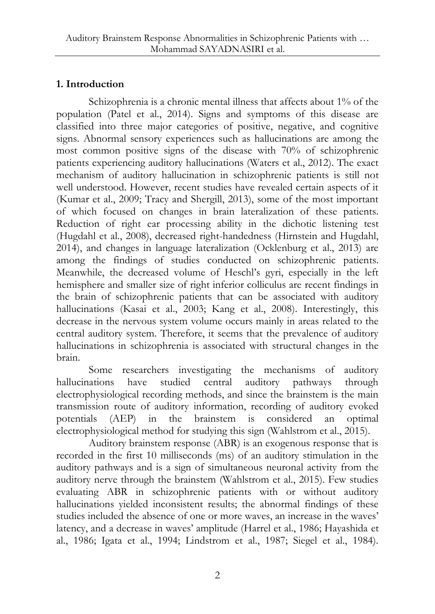# **1. Introduction**

Schizophrenia is a chronic mental illness that affects about 1% of the population (Patel et al., 2014). Signs and symptoms of this disease are classified into three major categories of positive, negative, and cognitive signs. Abnormal sensory experiences such as hallucinations are among the most common positive signs of the disease with 70% of schizophrenic patients experiencing auditory hallucinations (Waters et al., 2012). The exact mechanism of auditory hallucination in schizophrenic patients is still not well understood. However, recent studies have revealed certain aspects of it (Kumar et al., 2009; Tracy and Shergill, 2013), some of the most important of which focused on changes in brain lateralization of these patients. Reduction of right ear processing ability in the dichotic listening test (Hugdahl et al., 2008), decreased right-handedness (Hirnstein and Hugdahl, 2014), and changes in language lateralization (Ocklenburg et al., 2013) are among the findings of studies conducted on schizophrenic patients. Meanwhile, the decreased volume of Heschl's gyri, especially in the left hemisphere and smaller size of right inferior colliculus are recent findings in the brain of schizophrenic patients that can be associated with auditory hallucinations (Kasai et al., 2003; Kang et al., 2008). Interestingly, this decrease in the nervous system volume occurs mainly in areas related to the central auditory system. Therefore, it seems that the prevalence of auditory hallucinations in schizophrenia is associated with structural changes in the brain.

Some researchers investigating the mechanisms of auditory hallucinations have studied central auditory pathways through electrophysiological recording methods, and since the brainstem is the main transmission route of auditory information, recording of auditory evoked potentials (AEP) in the brainstem is considered an optimal electrophysiological method for studying this sign (Wahlstrom et al., 2015).

Auditory brainstem response (ABR) is an exogenous response that is recorded in the first 10 milliseconds (ms) of an auditory stimulation in the auditory pathways and is a sign of simultaneous neuronal activity from the auditory nerve through the brainstem (Wahlstrom et al., 2015). Few studies evaluating ABR in schizophrenic patients with or without auditory hallucinations yielded inconsistent results; the abnormal findings of these studies included the absence of one or more waves, an increase in the waves' latency, and a decrease in waves' amplitude (Harrel et al., 1986; Hayashida et al., 1986; Igata et al., 1994; Lindstrom et al., 1987; Siegel et al., 1984).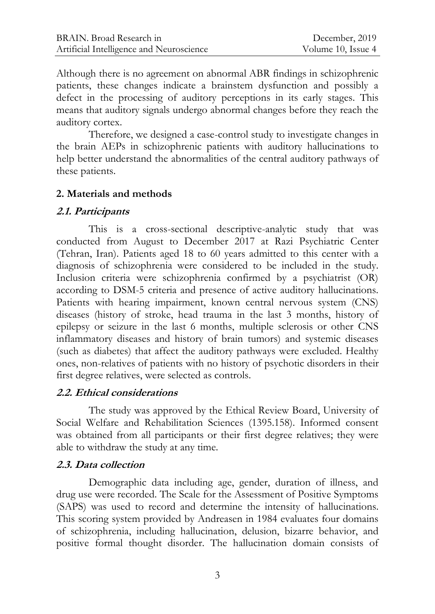Although there is no agreement on abnormal ABR findings in schizophrenic patients, these changes indicate a brainstem dysfunction and possibly a defect in the processing of auditory perceptions in its early stages. This means that auditory signals undergo abnormal changes before they reach the auditory cortex.

Therefore, we designed a case-control study to investigate changes in the brain AEPs in schizophrenic patients with auditory hallucinations to help better understand the abnormalities of the central auditory pathways of these patients.

#### **2. Materials and methods**

#### **2.1. Participants**

This is a cross-sectional descriptive-analytic study that was conducted from August to December 2017 at Razi Psychiatric Center (Tehran, Iran). Patients aged 18 to 60 years admitted to this center with a diagnosis of schizophrenia were considered to be included in the study. Inclusion criteria were schizophrenia confirmed by a psychiatrist (OR) according to DSM-5 criteria and presence of active auditory hallucinations. Patients with hearing impairment, known central nervous system (CNS) diseases (history of stroke, head trauma in the last 3 months, history of epilepsy or seizure in the last 6 months, multiple sclerosis or other CNS inflammatory diseases and history of brain tumors) and systemic diseases (such as diabetes) that affect the auditory pathways were excluded. Healthy ones, non-relatives of patients with no history of psychotic disorders in their first degree relatives, were selected as controls.

## **2.2. Ethical considerations**

The study was approved by the Ethical Review Board, University of Social Welfare and Rehabilitation Sciences (1395.158). Informed consent was obtained from all participants or their first degree relatives; they were able to withdraw the study at any time.

#### **2.3. Data collection**

Demographic data including age, gender, duration of illness, and drug use were recorded. The Scale for the Assessment of Positive Symptoms (SAPS) was used to record and determine the intensity of hallucinations. This scoring system provided by Andreasen in 1984 evaluates four domains of schizophrenia, including hallucination, delusion, bizarre behavior, and positive formal thought disorder. The hallucination domain consists of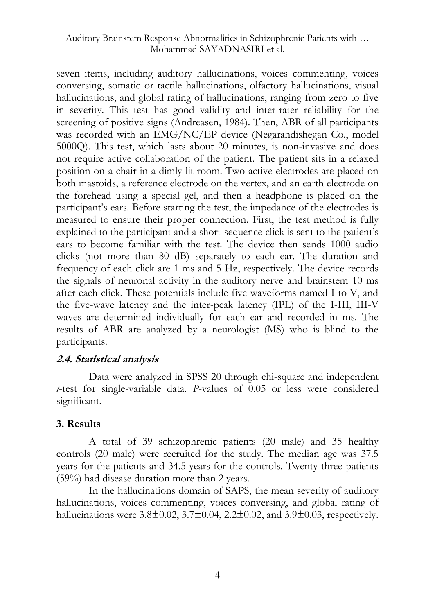seven items, including auditory hallucinations, voices commenting, voices conversing, somatic or tactile hallucinations, olfactory hallucinations, visual hallucinations, and global rating of hallucinations, ranging from zero to five in severity. This test has good validity and inter-rater reliability for the screening of positive signs (Andreasen, 1984). Then, ABR of all participants was recorded with an EMG/NC/EP device (Negarandishegan Co., model 5000Q). This test, which lasts about 20 minutes, is non-invasive and does not require active collaboration of the patient. The patient sits in a relaxed position on a chair in a dimly lit room. Two active electrodes are placed on both mastoids, a reference electrode on the vertex, and an earth electrode on the forehead using a special gel, and then a headphone is placed on the participant's ears. Before starting the test, the impedance of the electrodes is measured to ensure their proper connection. First, the test method is fully explained to the participant and a short-sequence click is sent to the patient's ears to become familiar with the test. The device then sends 1000 audio clicks (not more than 80 dB) separately to each ear. The duration and frequency of each click are 1 ms and 5 Hz, respectively. The device records the signals of neuronal activity in the auditory nerve and brainstem 10 ms after each click. These potentials include five waveforms named I to V, and the five-wave latency and the inter-peak latency (IPL) of the I-III, III-V waves are determined individually for each ear and recorded in ms. The results of ABR are analyzed by a neurologist (MS) who is blind to the participants.

## **2.4. Statistical analysis**

Data were analyzed in SPSS 20 through chi-square and independent *t*-test for single-variable data. *P*-values of 0.05 or less were considered significant.

## **3. Results**

A total of 39 schizophrenic patients (20 male) and 35 healthy controls (20 male) were recruited for the study. The median age was 37.5 years for the patients and 34.5 years for the controls. Twenty-three patients (59%) had disease duration more than 2 years.

In the hallucinations domain of SAPS, the mean severity of auditory hallucinations, voices commenting, voices conversing, and global rating of hallucinations were  $3.8\pm0.02$ ,  $3.7\pm0.04$ ,  $2.2\pm0.02$ , and  $3.9\pm0.03$ , respectively.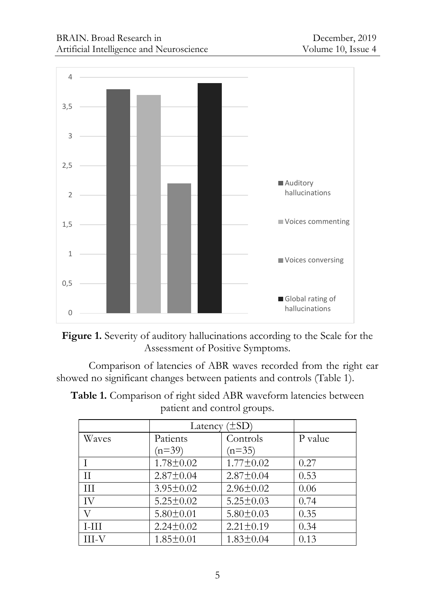



Comparison of latencies of ABR waves recorded from the right ear showed no significant changes between patients and controls (Table 1).

**Table 1.** Comparison of right sided ABR waveform latencies between patient and control groups.

|          | Latency $(\pm SD)$ |                 |         |
|----------|--------------------|-----------------|---------|
| Waves    | Patients           | Controls        | P value |
|          | $(n=39)$           | $(n=35)$        |         |
|          | $1.78 \pm 0.02$    | $1.77 \pm 0.02$ | 0.27    |
| $\rm II$ | $2.87 \pm 0.04$    | $2.87 \pm 0.04$ | 0.53    |
| III      | $3.95 \pm 0.02$    | $2.96 \pm 0.02$ | 0.06    |
| IV       | $5.25 \pm 0.02$    | $5.25 \pm 0.03$ | 0.74    |
| V        | $5.80 \pm 0.01$    | $5.80 \pm 0.03$ | 0.35    |
| $I-III$  | $2.24 \pm 0.02$    | $2.21 \pm 0.19$ | 0.34    |
| III-V    | $1.85 \pm 0.01$    | $1.83 \pm 0.04$ | 0.13    |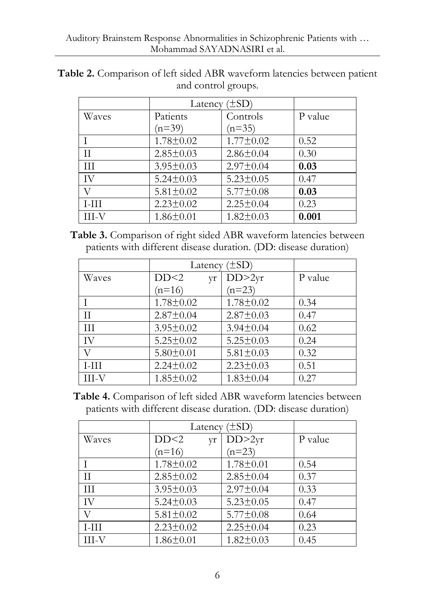|         |                 | Latency $(\pm SD)$ |         |  |
|---------|-----------------|--------------------|---------|--|
| Waves   | Patients        | Controls           | P value |  |
|         | $(n=39)$        | $(n=35)$           |         |  |
|         | $1.78 \pm 0.02$ | $1.77 \pm 0.02$    | 0.52    |  |
| Π       | $2.85 \pm 0.03$ | $2.86 \pm 0.04$    | 0.30    |  |
| Ш       | $3.95 \pm 0.03$ | $2.97 \pm 0.04$    | 0.03    |  |
| IV      | $5.24 \pm 0.03$ | $5.23 \pm 0.05$    | 0.47    |  |
| V       | $5.81 \pm 0.02$ | $5.77 \pm 0.08$    | 0.03    |  |
| $I-III$ | $2.23 \pm 0.02$ | $2.25 \pm 0.04$    | 0.23    |  |
| III-V   | $1.86 \pm 0.01$ | $1.82 \pm 0.03$    | 0.001   |  |

**Table 2.** Comparison of left sided ABR waveform latencies between patient and control groups.

**Table 3.** Comparison of right sided ABR waveform latencies between patients with different disease duration. (DD: disease duration)

|         | Latency $(\pm SD)$ |                 |         |
|---------|--------------------|-----------------|---------|
| Waves   | DD<2<br>yr         | DD>2yr          | P value |
|         | $(n=16)$           | $(n=23)$        |         |
|         | $1.78 \pm 0.02$    | $1.78 \pm 0.02$ | 0.34    |
| П       | $2.87 \pm 0.04$    | $2.87 \pm 0.03$ | 0.47    |
| Ш       | $3.95 \pm 0.02$    | $3.94 \pm 0.04$ | 0.62    |
| IV      | $5.25 \pm 0.02$    | $5.25 \pm 0.03$ | 0.24    |
| V       | $5.80 \pm 0.01$    | $5.81 \pm 0.03$ | 0.32    |
| $I-III$ | $2.24 \pm 0.02$    | $2.23 \pm 0.03$ | 0.51    |
| III-V   | $1.85 \pm 0.02$    | $1.83 \pm 0.04$ | 0.27    |

**Table 4.** Comparison of left sided ABR waveform latencies between patients with different disease duration. (DD: disease duration)

|               | Latency $(\pm SD)$ |                 |         |
|---------------|--------------------|-----------------|---------|
| Waves         | DD<2<br>yr         | DD>2yr          | P value |
|               | $(n=16)$           | $(n=23)$        |         |
|               | $1.78 \pm 0.02$    | $1.78 \pm 0.01$ | 0.54    |
| $\mathcal{I}$ | $2.85 \pm 0.02$    | $2.85 \pm 0.04$ | 0.37    |
| III           | $3.95 \pm 0.03$    | $2.97 \pm 0.04$ | 0.33    |
| IV            | $5.24 \pm 0.03$    | $5.23 \pm 0.05$ | 0.47    |
| V             | $5.81 \pm 0.02$    | $5.77 \pm 0.08$ | 0.64    |
| I-HI          | $2.23 \pm 0.02$    | $2.25 \pm 0.04$ | 0.23    |
| III-V         | $1.86 \pm 0.01$    | $1.82 \pm 0.03$ | 0.45    |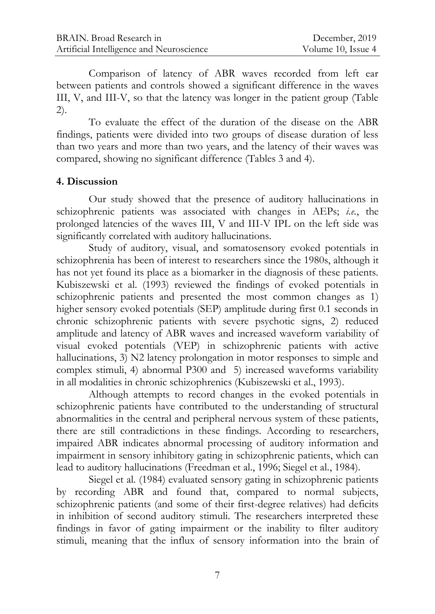Comparison of latency of ABR waves recorded from left ear between patients and controls showed a significant difference in the waves III, V, and III-V, so that the latency was longer in the patient group (Table 2).

To evaluate the effect of the duration of the disease on the ABR findings, patients were divided into two groups of disease duration of less than two years and more than two years, and the latency of their waves was compared, showing no significant difference (Tables 3 and 4).

#### **4. Discussion**

Our study showed that the presence of auditory hallucinations in schizophrenic patients was associated with changes in AEPs; *i.e.*, the prolonged latencies of the waves III, V and III-V IPL on the left side was significantly correlated with auditory hallucinations.

Study of auditory, visual, and somatosensory evoked potentials in schizophrenia has been of interest to researchers since the 1980s, although it has not yet found its place as a biomarker in the diagnosis of these patients. Kubiszewski et al. (1993) reviewed the findings of evoked potentials in schizophrenic patients and presented the most common changes as 1) higher sensory evoked potentials (SEP) amplitude during first 0.1 seconds in chronic schizophrenic patients with severe psychotic signs, 2) reduced amplitude and latency of ABR waves and increased waveform variability of visual evoked potentials (VEP) in schizophrenic patients with active hallucinations, 3) N2 latency prolongation in motor responses to simple and complex stimuli, 4) abnormal P300 and 5) increased waveforms variability in all modalities in chronic schizophrenics (Kubiszewski et al., 1993).

Although attempts to record changes in the evoked potentials in schizophrenic patients have contributed to the understanding of structural abnormalities in the central and peripheral nervous system of these patients, there are still contradictions in these findings. According to researchers, impaired ABR indicates abnormal processing of auditory information and impairment in sensory inhibitory gating in schizophrenic patients, which can lead to auditory hallucinations (Freedman et al., 1996; Siegel et al., 1984).

Siegel et al. (1984) evaluated sensory gating in schizophrenic patients by recording ABR and found that, compared to normal subjects, schizophrenic patients (and some of their first-degree relatives) had deficits in inhibition of second auditory stimuli. The researchers interpreted these findings in favor of gating impairment or the inability to filter auditory stimuli, meaning that the influx of sensory information into the brain of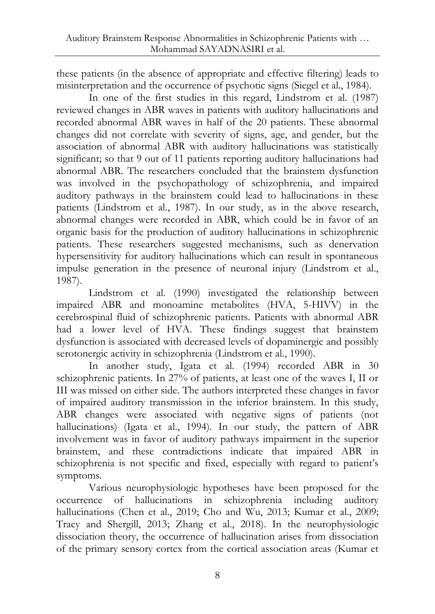these patients (in the absence of appropriate and effective filtering) leads to misinterpretation and the occurrence of psychotic signs (Siegel et al., 1984).

In one of the first studies in this regard, Lindstrom et al. (1987) reviewed changes in ABR waves in patients with auditory hallucinations and recorded abnormal ABR waves in half of the 20 patients. These abnormal changes did not correlate with severity of signs, age, and gender, but the association of abnormal ABR with auditory hallucinations was statistically significant; so that 9 out of 11 patients reporting auditory hallucinations had abnormal ABR. The researchers concluded that the brainstem dysfunction was involved in the psychopathology of schizophrenia, and impaired auditory pathways in the brainstem could lead to hallucinations in these patients (Lindstrom et al., 1987). In our study, as in the above research, abnormal changes were recorded in ABR, which could be in favor of an organic basis for the production of auditory hallucinations in schizophrenic patients. These researchers suggested mechanisms, such as denervation hypersensitivity for auditory hallucinations which can result in spontaneous impulse generation in the presence of neuronal injury (Lindstrom et al., 1987).

Lindstrom et al. (1990) investigated the relationship between impaired ABR and monoamine metabolites (HVA, 5-HIVV) in the cerebrospinal fluid of schizophrenic patients. Patients with abnormal ABR had a lower level of HVA. These findings suggest that brainstem dysfunction is associated with decreased levels of dopaminergic and possibly serotonergic activity in schizophrenia (Lindstrom et al., 1990).

In another study, Igata et al. (1994) recorded ABR in 30 schizophrenic patients. In 27% of patients, at least one of the waves I, II or III was missed on either side. The authors interpreted these changes in favor of impaired auditory transmission in the inferior brainstem. In this study, ABR changes were associated with negative signs of patients (not hallucinations) (Igata et al., 1994). In our study, the pattern of ABR involvement was in favor of auditory pathways impairment in the superior brainstem, and these contradictions indicate that impaired ABR in schizophrenia is not specific and fixed, especially with regard to patient's symptoms.

Various neurophysiologic hypotheses have been proposed for the occurrence of hallucinations in schizophrenia including auditory hallucinations (Chen et al., 2019; Cho and Wu, 2013; Kumar et al., 2009; Tracy and Shergill, 2013; Zhang et al., 2018). In the neurophysiologic dissociation theory, the occurrence of hallucination arises from dissociation of the primary sensory cortex from the cortical association areas (Kumar et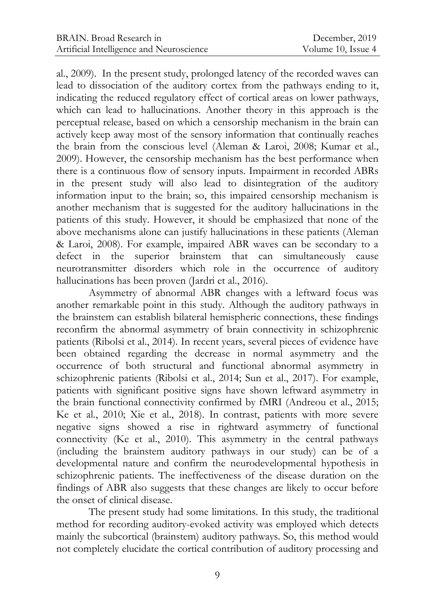al., 2009). In the present study, prolonged latency of the recorded waves can lead to dissociation of the auditory cortex from the pathways ending to it, indicating the reduced regulatory effect of cortical areas on lower pathways, which can lead to hallucinations. Another theory in this approach is the perceptual release, based on which a censorship mechanism in the brain can actively keep away most of the sensory information that continually reaches the brain from the conscious level (Aleman & Laroi, 2008; Kumar et al., 2009). However, the censorship mechanism has the best performance when there is a continuous flow of sensory inputs. Impairment in recorded ABRs in the present study will also lead to disintegration of the auditory information input to the brain; so, this impaired censorship mechanism is another mechanism that is suggested for the auditory hallucinations in the patients of this study. However, it should be emphasized that none of the above mechanisms alone can justify hallucinations in these patients (Aleman & Laroi, 2008). For example, impaired ABR waves can be secondary to a defect in the superior brainstem that can simultaneously cause neurotransmitter disorders which role in the occurrence of auditory hallucinations has been proven (Jardri et al., 2016).

Asymmetry of abnormal ABR changes with a leftward focus was another remarkable point in this study. Although the auditory pathways in the brainstem can establish bilateral hemispheric connections, these findings reconfirm the abnormal asymmetry of brain connectivity in schizophrenic patients (Ribolsi et al., 2014). In recent years, several pieces of evidence have been obtained regarding the decrease in normal asymmetry and the occurrence of both structural and functional abnormal asymmetry in schizophrenic patients (Ribolsi et al., 2014; Sun et al., 2017). For example, patients with significant positive signs have shown leftward asymmetry in the brain functional connectivity confirmed by fMRI (Andreou et al., 2015; Ke et al., 2010; Xie et al., 2018). In contrast, patients with more severe negative signs showed a rise in rightward asymmetry of functional connectivity (Ke et al., 2010). This asymmetry in the central pathways (including the brainstem auditory pathways in our study) can be of a developmental nature and confirm the neurodevelopmental hypothesis in schizophrenic patients. The ineffectiveness of the disease duration on the findings of ABR also suggests that these changes are likely to occur before the onset of clinical disease.

The present study had some limitations. In this study, the traditional method for recording auditory-evoked activity was employed which detects mainly the subcortical (brainstem) auditory pathways. So, this method would not completely elucidate the cortical contribution of auditory processing and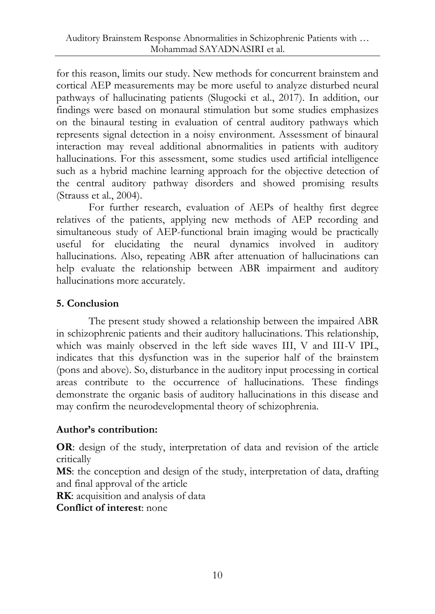for this reason, limits our study. New methods for concurrent brainstem and cortical AEP measurements may be more useful to analyze disturbed neural pathways of hallucinating patients (Slugocki et al., 2017). In addition, our findings were based on monaural stimulation but some studies emphasizes on the binaural testing in evaluation of central auditory pathways which represents signal detection in a noisy environment. Assessment of binaural interaction may reveal additional abnormalities in patients with auditory hallucinations. For this assessment, some studies used artificial intelligence such as a hybrid machine learning approach for the objective detection of the central auditory pathway disorders and showed promising results (Strauss et al., 2004).

For further research, evaluation of AEPs of healthy first degree relatives of the patients, applying new methods of AEP recording and simultaneous study of AEP-functional brain imaging would be practically useful for elucidating the neural dynamics involved in auditory hallucinations. Also, repeating ABR after attenuation of hallucinations can help evaluate the relationship between ABR impairment and auditory hallucinations more accurately.

## **5. Conclusion**

The present study showed a relationship between the impaired ABR in schizophrenic patients and their auditory hallucinations. This relationship, which was mainly observed in the left side waves III, V and III-V IPL, indicates that this dysfunction was in the superior half of the brainstem (pons and above). So, disturbance in the auditory input processing in cortical areas contribute to the occurrence of hallucinations. These findings demonstrate the organic basis of auditory hallucinations in this disease and may confirm the neurodevelopmental theory of schizophrenia.

## **Author's contribution:**

**OR**: design of the study, interpretation of data and revision of the article critically

**MS**: the conception and design of the study, interpretation of data, drafting and final approval of the article

**RK**: acquisition and analysis of data

**Conflict of interest**: none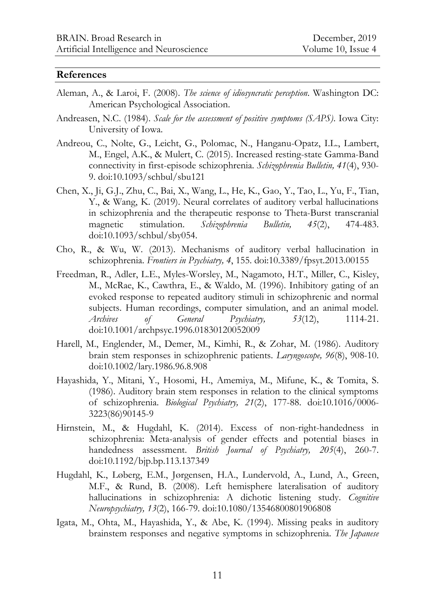#### **References**

- Aleman, A., & Laroi, F. (2008). *The science of idiosyncratic perception*. Washington DC: American Psychological Association.
- Andreasen, N.C. (1984). *Scale for the assessment of positive symptoms (SAPS)*. Iowa City: University of Iowa.
- Andreou, C., Nolte, G., Leicht, G., Polomac, N., Hanganu-Opatz, I.L., Lambert, M., Engel, A.K., & Mulert, C. (2015). Increased resting-state Gamma-Band connectivity in first-episode schizophrenia. *Schizophrenia Bulletin, 41*(4), 930- 9. doi:10.1093/schbul/sbu121
- Chen, X., Ji, G.J., Zhu, C., Bai, X., Wang, L., He, K., Gao, Y., Tao, L., Yu, F., Tian, Y., & Wang, K. (2019). Neural correlates of auditory verbal hallucinations in schizophrenia and the therapeutic response to Theta-Burst transcranial magnetic stimulation. *Schizophrenia Bulletin, 45*(2), 474-483. doi:10.1093/schbul/sby054.
- Cho, R., & Wu, W. (2013). Mechanisms of auditory verbal hallucination in schizophrenia. *Frontiers in Psychiatry, 4*, 155. doi:10.3389/fpsyt.2013.00155
- Freedman, R., Adler, L.E., Myles-Worsley, M., Nagamoto, H.T., Miller, C., Kisley, M., McRae, K., Cawthra, E., & Waldo, M. (1996). Inhibitory gating of an evoked response to repeated auditory stimuli in schizophrenic and normal subjects. Human recordings, computer simulation, and an animal model. *Archives of General Psychiatry, 53*(12), 1114-21. doi:10.1001/archpsyc.1996.01830120052009
- Harell, M., Englender, M., Demer, M., Kimhi, R., & Zohar, M. (1986). Auditory brain stem responses in schizophrenic patients. *Laryngoscope, 96*(8), 908-10. doi:10.1002/lary.1986.96.8.908
- Hayashida, Y., Mitani, Y., Hosomi, H., Amemiya, M., Mifune, K., & Tomita, S. (1986). Auditory brain stem responses in relation to the clinical symptoms of schizophrenia. *Biological Psychiatry, 21*(2), 177-88. doi:10.1016/0006- 3223(86)90145-9
- Hirnstein, M., & Hugdahl, K. (2014). Excess of non-right-handedness in schizophrenia: Meta-analysis of gender effects and potential biases in handedness assessment. *British Journal of Psychiatry, 205*(4), 260-7. doi:10.1192/bjp.bp.113.137349
- Hugdahl, K., Løberg, E.M., Jørgensen, H.A., Lundervold, A., Lund, A., Green, M.F., & Rund, B. (2008). Left hemisphere lateralisation of auditory hallucinations in schizophrenia: A dichotic listening study. *Cognitive Neuropsychiatry, 13*(2), 166-79. doi:10.1080/13546800801906808
- Igata, M., Ohta, M., Hayashida, Y., & Abe, K. (1994). Missing peaks in auditory brainstem responses and negative symptoms in schizophrenia. *The Japanese*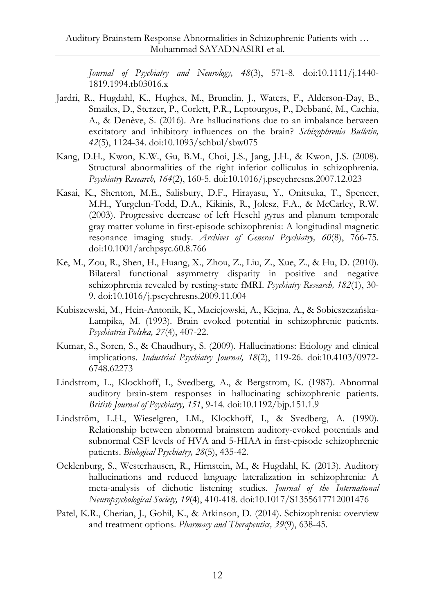*Journal of Psychiatry and Neurology, 48*(3), 571-8. doi:10.1111/j.1440- 1819.1994.tb03016.x

- Jardri, R., Hugdahl, K., Hughes, M., Brunelin, J., Waters, F., Alderson-Day, B., Smailes, D., Sterzer, P., Corlett, P.R., Leptourgos, P., Debbané, M., Cachia, A., & Denève, S. (2016). Are hallucinations due to an imbalance between excitatory and inhibitory influences on the brain? *Schizophrenia Bulletin, 42*(5), 1124-34. doi:10.1093/schbul/sbw075
- Kang, D.H., Kwon, K.W., Gu, B.M., Choi, J.S., Jang, J.H., & Kwon, J.S. (2008). Structural abnormalities of the right inferior colliculus in schizophrenia. *Psychiatry Research, 164*(2), 160-5. doi:10.1016/j.pscychresns.2007.12.023
- Kasai, K., Shenton, M.E., Salisbury, D.F., Hirayasu, Y., Onitsuka, T., Spencer, M.H., Yurgelun-Todd, D.A., Kikinis, R., Jolesz, F.A., & McCarley, R.W. (2003). Progressive decrease of left Heschl gyrus and planum temporale gray matter volume in first-episode schizophrenia: A longitudinal magnetic resonance imaging study. *Archives of General Psychiatry, 60*(8), 766-75. doi:10.1001/archpsyc.60.8.766
- Ke, M., Zou, R., Shen, H., Huang, X., Zhou, Z., Liu, Z., Xue, Z., & Hu, D. (2010). Bilateral functional asymmetry disparity in positive and negative schizophrenia revealed by resting-state fMRI. *Psychiatry Research, 182*(1), 30- 9. doi:10.1016/j.pscychresns.2009.11.004
- Kubiszewski, M., Hein-Antonik, K., Maciejowski, A., Kiejna, A., & Sobieszczańska-Lampika, M. (1993). Brain evoked potential in schizophrenic patients. *Psychiatria Polska, 27*(4), 407-22.
- Kumar, S., Soren, S., & Chaudhury, S. (2009). Hallucinations: Etiology and clinical implications. *Industrial Psychiatry Journal, 18*(2), 119-26. doi:10.4103/0972- 6748.62273
- Lindstrom, L., Klockhoff, I., Svedberg, A., & Bergstrom, K. (1987). Abnormal auditory brain-stem responses in hallucinating schizophrenic patients. *British Journal of Psychiatry, 151*, 9-14. doi:10.1192/bjp.151.1.9
- Lindström, L.H., Wieselgren, I.M., Klockhoff, I., & Svedberg, A. (1990). Relationship between abnormal brainstem auditory-evoked potentials and subnormal CSF levels of HVA and 5-HIAA in first-episode schizophrenic patients. *Biological Psychiatry, 28*(5), 435-42.
- Ocklenburg, S., Westerhausen, R., Hirnstein, M., & Hugdahl, K. (2013). Auditory hallucinations and reduced language lateralization in schizophrenia: A meta-analysis of dichotic listening studies. *Journal of the International Neuropsychological Society, 19*(4), 410-418. doi:10.1017/S1355617712001476
- Patel, K.R., Cherian, J., Gohil, K., & Atkinson, D. (2014). Schizophrenia: overview and treatment options. *Pharmacy and Therapeutics, 39*(9), 638-45.